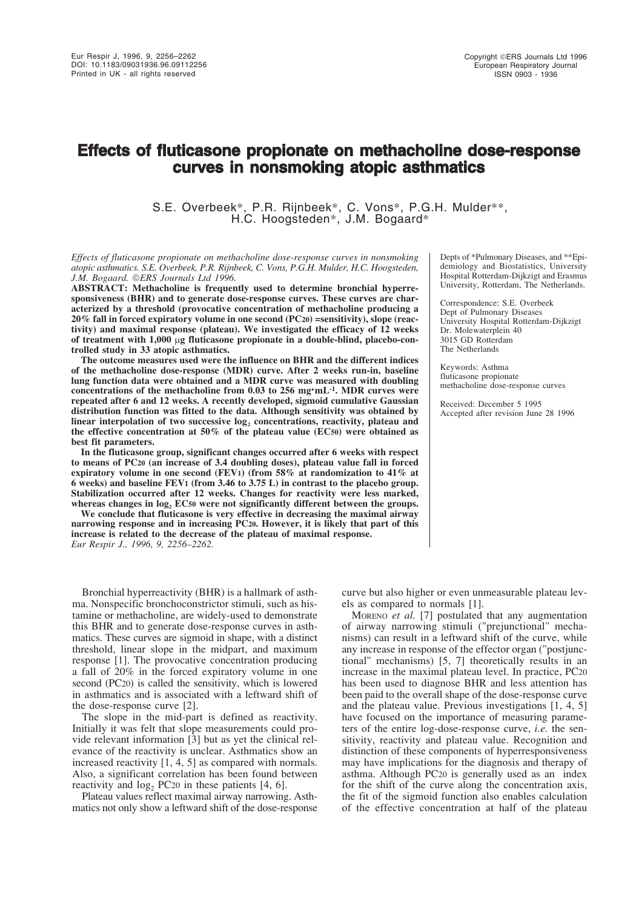# **Effects of fluticasone propionate on methacholine dose-response curves in nonsmoking atopic asthmatics**

S.E. Overbeek\*, P.R. Rijnbeek\*, C. Vons\*, P.G.H. Mulder\*\*, H.C. Hoogsteden\*, J.M. Bogaard\*

*Effects of fluticasone propionate on methacholine dose-response curves in nonsmoking atopic asthmatics. S.E. Overbeek, P.R. Rijnbeek, C. Vons, P.G.H. Mulder, H.C. Hoogsteden, J.M. Bogaard. ERS Journals Ltd 1996.*

**ABSTRACT: Methacholine is frequently used to determine bronchial hyperresponsiveness (BHR) and to generate dose-response curves. These curves are characterized by a threshold (provocative concentration of methacholine producing a 20% fall in forced expiratory volume in one second (PC20) =sensitivity), slope (reactivity) and maximal response (plateau). We investigated the efficacy of 12 weeks of treatment with 1,000** µ**g fluticasone propionate in a double-blind, placebo-controlled study in 33 atopic asthmatics.**

**The outcome measures used were the influence on BHR and the different indices of the methacholine dose-response (MDR) curve. After 2 weeks run-in, baseline lung function data were obtained and a MDR curve was measured with doubling concentrations of the methacholine from 0.03 to 256 mg·mL-1. MDR curves were repeated after 6 and 12 weeks. A recently developed, sigmoid cumulative Gaussian distribution function was fitted to the data. Although sensitivity was obtained by** linear interpolation of two successive log<sub>2</sub> concentrations, reactivity, plateau and **the effective concentration at 50% of the plateau value (EC50) were obtained as best fit parameters.**

**In the fluticasone group, significant changes occurred after 6 weeks with respect to means of PC20 (an increase of 3.4 doubling doses), plateau value fall in forced expiratory volume in one second (FEV1) (from 58% at randomization to 41% at 6 weeks) and baseline FEV1 (from 3.46 to 3.75 L) in contrast to the placebo group. Stabilization occurred after 12 weeks. Changes for reactivity were less marked,** whereas changes in  $log_2$  **EC50** were not significantly different between the groups.

**We conclude that fluticasone is very effective in decreasing the maximal airway narrowing response and in increasing PC20. However, it is likely that part of this increase is related to the decrease of the plateau of maximal response.** *Eur Respir J., 1996, 9, 2256–2262.*

Bronchial hyperreactivity (BHR) is a hallmark of asthma. Nonspecific bronchoconstrictor stimuli, such as histamine or methacholine, are widely-used to demonstrate this BHR and to generate dose-response curves in asthmatics. These curves are sigmoid in shape, with a distinct threshold, linear slope in the midpart, and maximum response [1]. The provocative concentration producing a fall of 20% in the forced expiratory volume in one second (PC20) is called the sensitivity, which is lowered in asthmatics and is associated with a leftward shift of the dose-response curve [2].

The slope in the mid-part is defined as reactivity. Initially it was felt that slope measurements could provide relevant information [3] but as yet the clinical relevance of the reactivity is unclear. Asthmatics show an increased reactivity [1, 4, 5] as compared with normals. Also, a significant correlation has been found between reactivity and  $log<sub>2</sub> PC20$  in these patients [4, 6].

Plateau values reflect maximal airway narrowing. Asthmatics not only show a leftward shift of the dose-response Depts of \*Pulmonary Diseases, and \*\*Epidemiology and Biostatistics, University Hospital Rotterdam-Dijkzigt and Erasmus University, Rotterdam, The Netherlands.

Correspondence: S.E. Overbeek Dept of Pulmonary Diseases University Hospital Rotterdam-Dijkzigt Dr. Molewaterplein 40 3015 GD Rotterdam The Netherlands

Keywords: Asthma fluticasone propionate methacholine dose-response curves

Received: December 5 1995 Accepted after revision June 28 1996

curve but also higher or even unmeasurable plateau levels as compared to normals [1].

MORENO *et al.* [7] postulated that any augmentation of airway narrowing stimuli ("prejunctional" mechanisms) can result in a leftward shift of the curve, while any increase in response of the effector organ ("postjunctional" mechanisms) [5, 7] theoretically results in an increase in the maximal plateau level. In practice, PC20 has been used to diagnose BHR and less attention has been paid to the overall shape of the dose-response curve and the plateau value. Previous investigations [1, 4, 5] have focused on the importance of measuring parameters of the entire log-dose-response curve, *i.e.* the sensitivity, reactivity and plateau value. Recognition and distinction of these components of hyperresponsiveness may have implications for the diagnosis and therapy of asthma. Although PC20 is generally used as an index for the shift of the curve along the concentration axis, the fit of the sigmoid function also enables calculation of the effective concentration at half of the plateau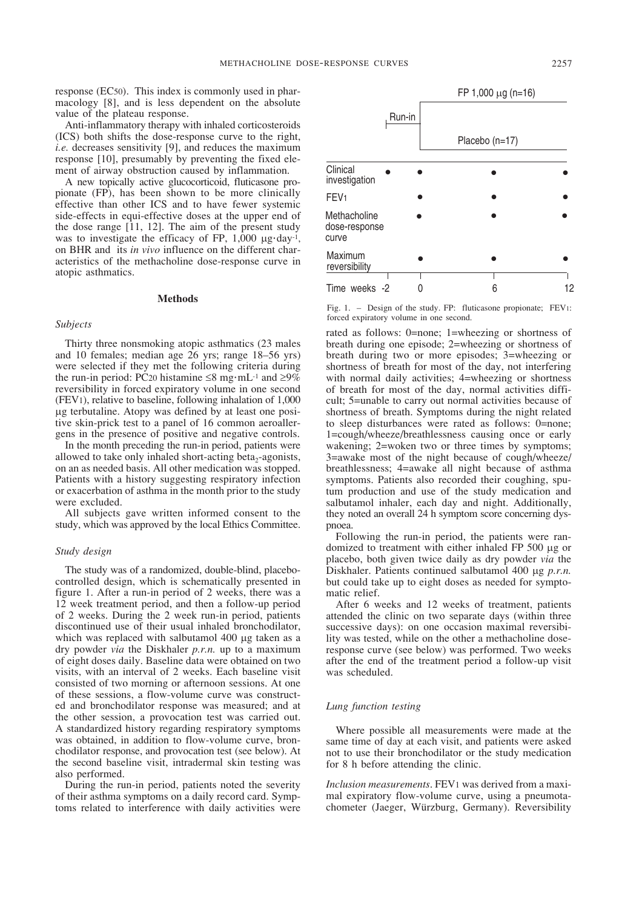response (EC50). This index is commonly used in pharmacology [8], and is less dependent on the absolute value of the plateau response.

Anti-inflammatory therapy with inhaled corticosteroids (ICS) both shifts the dose-response curve to the right, *i.e.* decreases sensitivity [9], and reduces the maximum response [10], presumably by preventing the fixed element of airway obstruction caused by inflammation.

A new topically active glucocorticoid, fluticasone propionate (FP), has been shown to be more clinically effective than other ICS and to have fewer systemic side-effects in equi-effective doses at the upper end of the dose range  $[11, 12]$ . The aim of the present study was to investigate the efficacy of FP,  $1,000 \mu g \cdot day^{-1}$ , on BHR and its *in vivo* influence on the different characteristics of the methacholine dose-response curve in atopic asthmatics.

#### **Methods**

### *Subjects*

Thirty three nonsmoking atopic asthmatics (23 males and 10 females; median age 26 yrs; range 18–56 yrs) were selected if they met the following criteria during the run-in period: PC20 histamine ≤8 mg·mL<sup>-1</sup> and ≥9% reversibility in forced expiratory volume in one second (FEV1), relative to baseline, following inhalation of 1,000 µg terbutaline. Atopy was defined by at least one positive skin-prick test to a panel of 16 common aeroallergens in the presence of positive and negative controls.

In the month preceding the run-in period, patients were allowed to take only inhaled short-acting beta<sub>2</sub>-agonists, on an as needed basis. All other medication was stopped. Patients with a history suggesting respiratory infection or exacerbation of asthma in the month prior to the study were excluded.

All subjects gave written informed consent to the study, which was approved by the local Ethics Committee.

# *Study design*

The study was of a randomized, double-blind, placebocontrolled design, which is schematically presented in figure 1. After a run-in period of 2 weeks, there was a 12 week treatment period, and then a follow-up period of 2 weeks. During the 2 week run-in period, patients discontinued use of their usual inhaled bronchodilator, which was replaced with salbutamol 400 µg taken as a dry powder *via* the Diskhaler *p.r.n.* up to a maximum of eight doses daily. Baseline data were obtained on two visits, with an interval of 2 weeks. Each baseline visit consisted of two morning or afternoon sessions. At one of these sessions, a flow-volume curve was constructed and bronchodilator response was measured; and at the other session, a provocation test was carried out. A standardized history regarding respiratory symptoms was obtained, in addition to flow-volume curve, bronchodilator response, and provocation test (see below). At the second baseline visit, intradermal skin testing was also performed.

During the run-in period, patients noted the severity of their asthma symptoms on a daily record card. Symptoms related to interference with daily activities were



Fig. 1. – Design of the study. FP: fluticasone propionate; FEV1: forced expiratory volume in one second.

rated as follows: 0=none; 1=wheezing or shortness of breath during one episode; 2=wheezing or shortness of breath during two or more episodes; 3=wheezing or shortness of breath for most of the day, not interfering with normal daily activities; 4=wheezing or shortness of breath for most of the day, normal activities difficult; 5=unable to carry out normal activities because of shortness of breath. Symptoms during the night related to sleep disturbances were rated as follows: 0=none; 1=cough/wheeze/breathlessness causing once or early wakening; 2=woken two or three times by symptoms; 3=awake most of the night because of cough/wheeze/ breathlessness; 4=awake all night because of asthma symptoms. Patients also recorded their coughing, sputum production and use of the study medication and salbutamol inhaler, each day and night. Additionally, they noted an overall 24 h symptom score concerning dyspnoea.

Following the run-in period, the patients were randomized to treatment with either inhaled FP 500 µg or placebo, both given twice daily as dry powder *via* the Diskhaler. Patients continued salbutamol 400 µg *p.r.n.* but could take up to eight doses as needed for symptomatic relief.

After 6 weeks and 12 weeks of treatment, patients attended the clinic on two separate days (within three successive days): on one occasion maximal reversibility was tested, while on the other a methacholine doseresponse curve (see below) was performed. Two weeks after the end of the treatment period a follow-up visit was scheduled.

#### *Lung function testing*

Where possible all measurements were made at the same time of day at each visit, and patients were asked not to use their bronchodilator or the study medication for 8 h before attending the clinic.

*Inclusion measurements*. FEV1 was derived from a maximal expiratory flow-volume curve, using a pneumotachometer (Jaeger, Würzburg, Germany). Reversibility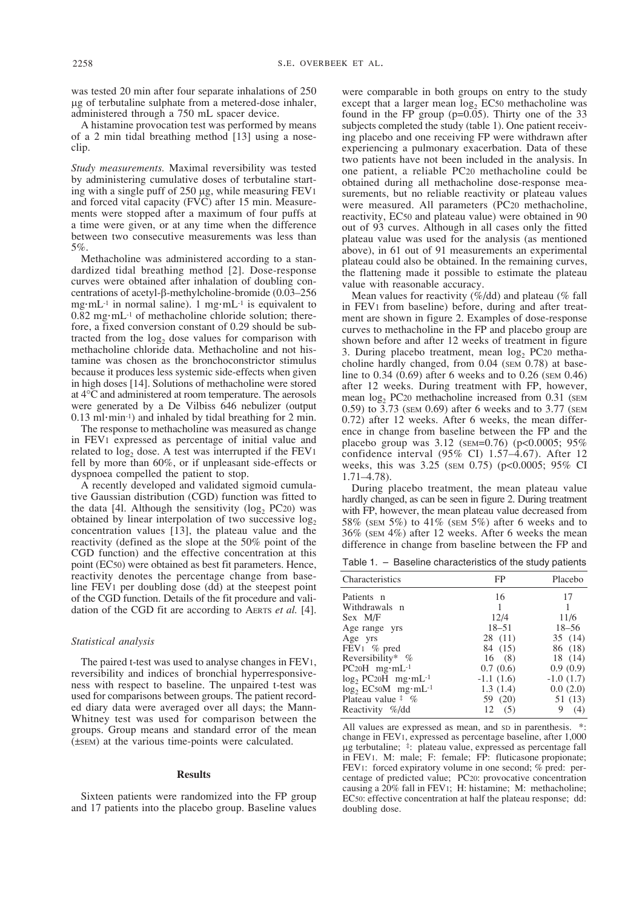was tested 20 min after four separate inhalations of 250 µg of terbutaline sulphate from a metered-dose inhaler, administered through a 750 mL spacer device.

A histamine provocation test was performed by means of a 2 min tidal breathing method [13] using a noseclip.

*Study measurements.* Maximal reversibility was tested by administering cumulative doses of terbutaline starting with a single puff of 250 µg, while measuring FEV1 and forced vital capacity (FVC) after 15 min. Measurements were stopped after a maximum of four puffs at a time were given, or at any time when the difference between two consecutive measurements was less than 5%.

Methacholine was administered according to a standardized tidal breathing method [2]. Dose-response curves were obtained after inhalation of doubling concentrations of acetyl-β-methylcholine-bromide (0.03–256 mg·mL<sup>-1</sup> in normal saline). 1 mg·mL<sup>-1</sup> is equivalent to  $0.82$  mg $\cdot$ mL<sup>-1</sup> of methacholine chloride solution; therefore, a fixed conversion constant of 0.29 should be subtracted from the  $log<sub>2</sub>$  dose values for comparison with methacholine chloride data. Methacholine and not histamine was chosen as the bronchoconstrictor stimulus because it produces less systemic side-effects when given in high doses [14]. Solutions of methacholine were stored at 4°C and administered at room temperature. The aerosols were generated by a De Vilbiss 646 nebulizer (output  $0.13$  ml·min<sup>-1</sup>) and inhaled by tidal breathing for 2 min.

The response to methacholine was measured as change in FEV1 expressed as percentage of initial value and related to  $log<sub>2</sub>$  dose. A test was interrupted if the FEV1 fell by more than 60%, or if unpleasant side-effects or dyspnoea compelled the patient to stop.

A recently developed and validated sigmoid cumulative Gaussian distribution (CGD) function was fitted to the data [41. Although the sensitivity  $(\log_2 PC20)$  was obtained by linear interpolation of two successive  $log<sub>2</sub>$ concentration values [13], the plateau value and the reactivity (defined as the slope at the 50% point of the CGD function) and the effective concentration at this point (EC50) were obtained as best fit parameters. Hence, reactivity denotes the percentage change from baseline FEV1 per doubling dose (dd) at the steepest point of the CGD function. Details of the fit procedure and validation of the CGD fit are according to AERTS *et al.* [4].

## *Statistical analysis*

The paired t-test was used to analyse changes in FEV1, reversibility and indices of bronchial hyperresponsiveness with respect to baseline. The unpaired t-test was used for comparisons between groups. The patient recorded diary data were averaged over all days; the Mann-Whitney test was used for comparison between the groups. Group means and standard error of the mean (±SEM) at the various time-points were calculated.

#### **Results**

Sixteen patients were randomized into the FP group and 17 patients into the placebo group. Baseline values

were comparable in both groups on entry to the study except that a larger mean  $\log_2$  EC50 methacholine was found in the FP group  $(p=0.05)$ . Thirty one of the 33 subjects completed the study (table 1). One patient receiving placebo and one receiving FP were withdrawn after experiencing a pulmonary exacerbation. Data of these two patients have not been included in the analysis. In one patient, a reliable PC20 methacholine could be obtained during all methacholine dose-response measurements, but no reliable reactivity or plateau values were measured. All parameters (PC20 methacholine, reactivity, EC50 and plateau value) were obtained in 90 out of 93 curves. Although in all cases only the fitted plateau value was used for the analysis (as mentioned above), in 61 out of 91 measurements an experimental plateau could also be obtained. In the remaining curves, the flattening made it possible to estimate the plateau value with reasonable accuracy.

Mean values for reactivity  $(\%/dd)$  and plateau ( $\%$  fall in FEV1 from baseline) before, during and after treatment are shown in figure 2. Examples of dose-response curves to methacholine in the FP and placebo group are shown before and after 12 weeks of treatment in figure 3. During placebo treatment, mean  $log_2$  PC20 methacholine hardly changed, from 0.04 (SEM 0.78) at baseline to 0.34 (0.69) after 6 weeks and to 0.26 (SEM 0.46) after 12 weeks. During treatment with FP, however, mean  $log_2$  PC20 methacholine increased from 0.31 (SEM 0.59) to 3.73 (SEM 0.69) after 6 weeks and to 3.77 (SEM 0.72) after 12 weeks. After 6 weeks, the mean difference in change from baseline between the FP and the placebo group was 3.12 (SEM=0.76) (p<0.0005; 95% confidence interval (95% CI) 1.57–4.67). After 12 weeks, this was 3.25 (SEM 0.75) (p<0.0005; 95% CI 1.71–4.78).

During placebo treatment, the mean plateau value hardly changed, as can be seen in figure 2. During treatment with FP, however, the mean plateau value decreased from 58% (SEM 5%) to 41% (SEM 5%) after 6 weeks and to 36% (SEM 4%) after 12 weeks. After 6 weeks the mean difference in change from baseline between the FP and

Table 1. – Baseline characteristics of the study patients

| Characteristics                                 | FP          | Placebo     |
|-------------------------------------------------|-------------|-------------|
| Patients n                                      | 16          | 17          |
| Withdrawals n                                   | 1           |             |
| Sex M/F                                         | 12/4        | 11/6        |
| Age range yrs                                   | $18 - 51$   | $18 - 56$   |
| Age yrs                                         | 28 (11)     | 35(14)      |
| $FEV1 \% pred$                                  | 84 (15)     | 86 (18)     |
| Reversibility* $%$                              | 16(8)       | 18 (14)     |
| $PC20H$ mg·mL <sup>-1</sup>                     | 0.7(0.6)    | 0.9(0.9)    |
| $\log_2$ PC <sub>20</sub> H mg·mL <sup>-1</sup> | $-1.1(1.6)$ | $-1.0(1.7)$ |
| $log_2$ EC50M mg·mL <sup>-1</sup>               | 1.3(1.4)    | 0.0(2.0)    |
| Plateau value $\frac{4}{3}$ %                   | 59 (20)     | 51 (13)     |
| Reactivity %/dd                                 | 12(5)       | 9<br>(4)    |

All values are expressed as mean, and sp in parenthesis.  $*$ : change in FEV1, expressed as percentage baseline, after 1,000 µg terbutaline; ‡: plateau value, expressed as percentage fall in FEV1. M: male; F: female; FP: fluticasone propionate; FEV1: forced expiratory volume in one second; % pred: percentage of predicted value; PC20: provocative concentration causing a 20% fall in FEV1; H: histamine; M: methacholine; EC50: effective concentration at half the plateau response; dd: doubling dose.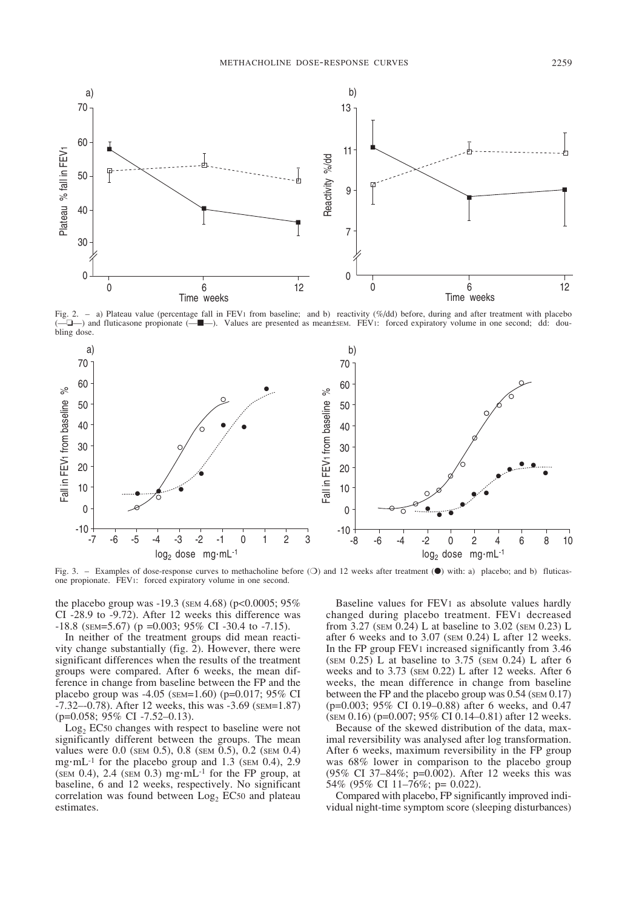

Fig. 2. - a) Plateau value (percentage fall in FEV1 from baseline; and b) reactivity (%/dd) before, during and after treatment with placebo (—❏—) and fluticasone propionate (—■—). Values are presented as mean±SEM. FEV1: forced expiratory volume in one second; dd: doubling dose.



Fig. 3. – Examples of dose-response curves to methacholine before (○) and 12 weeks after treatment (●) with: a) placebo; and b) fluticasone propionate. FEV1: forced expiratory volume in one second.

the placebo group was -19.3 (SEM 4.68) (p<0.0005; 95% CI -28.9 to -9.72). After 12 weeks this difference was  $-18.8$  (SEM=5.67) (p =0.003; 95% CI -30.4 to -7.15).

In neither of the treatment groups did mean reactivity change substantially (fig. 2). However, there were significant differences when the results of the treatment groups were compared. After 6 weeks, the mean difference in change from baseline between the FP and the placebo group was -4.05 (SEM=1.60) (p=0.017; 95% CI -7.32–-0.78). After 12 weeks, this was -3.69 (SEM=1.87) (p=0.058; 95% CI -7.52–0.13).

 $Log<sub>2</sub> EC50 changes with respect to baseline were not$ significantly different between the groups. The mean values were 0.0 (SEM 0.5), 0.8 (SEM 0.5), 0.2 (SEM 0.4) mg $\cdot$ mL<sup>-1</sup> for the placebo group and 1.3 (SEM 0.4), 2.9 (SEM 0.4), 2.4 (SEM 0.3) mg $\cdot$ mL<sup>-1</sup> for the FP group, at baseline, 6 and 12 weeks, respectively. No significant correlation was found between  $Log<sub>2</sub> EC50$  and plateau estimates.

Baseline values for FEV1 as absolute values hardly changed during placebo treatment. FEV1 decreased from 3.27 (SEM 0.24) L at baseline to 3.02 (SEM 0.23) L after 6 weeks and to 3.07 (SEM 0.24) L after 12 weeks. In the FP group FEV1 increased significantly from 3.46 (SEM  $0.25$ ) L at baseline to 3.75 (SEM  $0.24$ ) L after 6 weeks and to 3.73 (SEM 0.22) L after 12 weeks. After 6 weeks, the mean difference in change from baseline between the FP and the placebo group was  $0.54$  (sem  $0.17$ ) (p=0.003; 95% CI 0.19–0.88) after 6 weeks, and 0.47 (SEM 0.16) (p=0.007; 95% CI 0.14–0.81) after 12 weeks.

Because of the skewed distribution of the data, maximal reversibility was analysed after log transformation. After 6 weeks, maximum reversibility in the FP group was 68% lower in comparison to the placebo group (95% CI 37–84%; p=0.002). After 12 weeks this was 54% (95% CI 11–76%; p= 0.022).

Compared with placebo, FP significantly improved individual night-time symptom score (sleeping disturbances)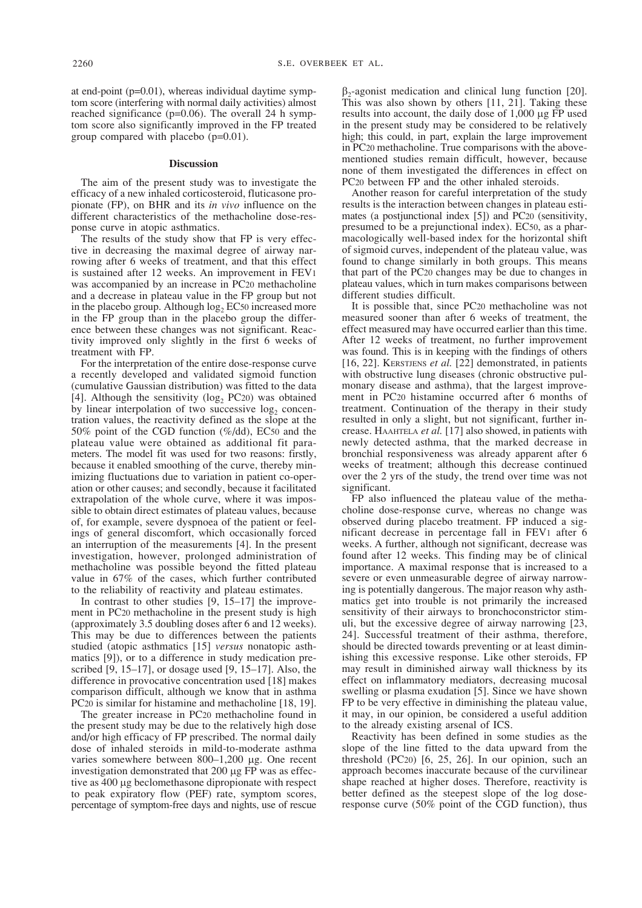at end-point (p=0.01), whereas individual daytime symptom score (interfering with normal daily activities) almost reached significance (p=0.06). The overall 24 h symptom score also significantly improved in the FP treated group compared with placebo (p=0.01).

#### **Discussion**

The aim of the present study was to investigate the efficacy of a new inhaled corticosteroid, fluticasone propionate (FP), on BHR and its *in vivo* influence on the different characteristics of the methacholine dose-response curve in atopic asthmatics.

The results of the study show that FP is very effective in decreasing the maximal degree of airway narrowing after 6 weeks of treatment, and that this effect is sustained after 12 weeks. An improvement in FEV1 was accompanied by an increase in PC20 methacholine and a decrease in plateau value in the FP group but not in the placebo group. Although  $log<sub>2</sub> EC<sub>50</sub>$  increased more in the FP group than in the placebo group the difference between these changes was not significant. Reactivity improved only slightly in the first 6 weeks of treatment with FP.

For the interpretation of the entire dose-response curve a recently developed and validated sigmoid function (cumulative Gaussian distribution) was fitted to the data [4]. Although the sensitivity ( $log_2$  PC20) was obtained by linear interpolation of two successive  $log<sub>2</sub>$  concentration values, the reactivity defined as the slope at the 50% point of the CGD function (%/dd), EC50 and the plateau value were obtained as additional fit parameters. The model fit was used for two reasons: firstly, because it enabled smoothing of the curve, thereby minimizing fluctuations due to variation in patient co-operation or other causes; and secondly, because it facilitated extrapolation of the whole curve, where it was impossible to obtain direct estimates of plateau values, because of, for example, severe dyspnoea of the patient or feelings of general discomfort, which occasionally forced an interruption of the measurements [4]. In the present investigation, however, prolonged administration of methacholine was possible beyond the fitted plateau value in 67% of the cases, which further contributed to the reliability of reactivity and plateau estimates.

In contrast to other studies [9, 15–17] the improvement in PC20 methacholine in the present study is high (approximately 3.5 doubling doses after 6 and 12 weeks). This may be due to differences between the patients studied (atopic asthmatics [15] *versus* nonatopic asthmatics [9]), or to a difference in study medication prescribed  $[9, 15-17]$ , or dosage used  $[9, 15-17]$ . Also, the difference in provocative concentration used [18] makes comparison difficult, although we know that in asthma PC20 is similar for histamine and methacholine [18, 19].

The greater increase in PC20 methacholine found in the present study may be due to the relatively high dose and/or high efficacy of FP prescribed. The normal daily dose of inhaled steroids in mild-to-moderate asthma varies somewhere between 800–1,200 µg. One recent investigation demonstrated that 200 µg FP was as effective as 400 µg beclomethasone dipropionate with respect to peak expiratory flow (PEF) rate, symptom scores, percentage of symptom-free days and nights, use of rescue

 $β_2$ -agonist medication and clinical lung function [20]. This was also shown by others [11, 21]. Taking these results into account, the daily dose of 1,000 µg FP used in the present study may be considered to be relatively high; this could, in part, explain the large improvement in PC20 methacholine. True comparisons with the abovementioned studies remain difficult, however, because none of them investigated the differences in effect on PC20 between FP and the other inhaled steroids.

Another reason for careful interpretation of the study results is the interaction between changes in plateau estimates (a postjunctional index [5]) and PC20 (sensitivity, presumed to be a prejunctional index). EC50, as a pharmacologically well-based index for the horizontal shift of sigmoid curves, independent of the plateau value, was found to change similarly in both groups. This means that part of the PC20 changes may be due to changes in plateau values, which in turn makes comparisons between different studies difficult.

It is possible that, since PC20 methacholine was not measured sooner than after 6 weeks of treatment, the effect measured may have occurred earlier than this time. After 12 weeks of treatment, no further improvement was found. This is in keeping with the findings of others [16, 22]. KERSTJENS *et al.* [22] demonstrated, in patients with obstructive lung diseases (chronic obstructive pulmonary disease and asthma), that the largest improvement in PC20 histamine occurred after 6 months of treatment. Continuation of the therapy in their study resulted in only a slight, but not significant, further increase. HAAHTELA *et al.* [17] also showed, in patients with newly detected asthma, that the marked decrease in bronchial responsiveness was already apparent after 6 weeks of treatment; although this decrease continued over the 2 yrs of the study, the trend over time was not significant.

FP also influenced the plateau value of the methacholine dose-response curve, whereas no change was observed during placebo treatment. FP induced a significant decrease in percentage fall in FEV1 after 6 weeks. A further, although not significant, decrease was found after 12 weeks. This finding may be of clinical importance. A maximal response that is increased to a severe or even unmeasurable degree of airway narrowing is potentially dangerous. The major reason why asthmatics get into trouble is not primarily the increased sensitivity of their airways to bronchoconstrictor stimuli, but the excessive degree of airway narrowing [23, 24]. Successful treatment of their asthma, therefore, should be directed towards preventing or at least diminishing this excessive response. Like other steroids, FP may result in diminished airway wall thickness by its effect on inflammatory mediators, decreasing mucosal swelling or plasma exudation [5]. Since we have shown FP to be very effective in diminishing the plateau value, it may, in our opinion, be considered a useful addition to the already existing arsenal of ICS.

Reactivity has been defined in some studies as the slope of the line fitted to the data upward from the threshold (PC20) [6, 25, 26]. In our opinion, such an approach becomes inaccurate because of the curvilinear shape reached at higher doses. Therefore, reactivity is better defined as the steepest slope of the log doseresponse curve (50% point of the CGD function), thus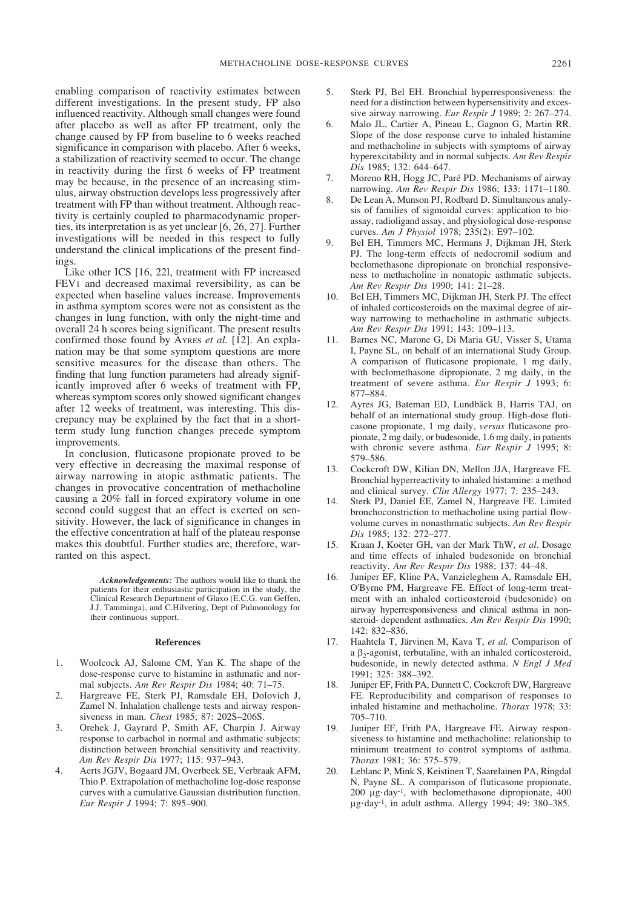enabling comparison of reactivity estimates between different investigations. In the present study, FP also influenced reactivity. Although small changes were found after placebo as well as after FP treatment, only the change caused by FP from baseline to 6 weeks reached significance in comparison with placebo. After 6 weeks, a stabilization of reactivity seemed to occur. The change in reactivity during the first 6 weeks of FP treatment may be because, in the presence of an increasing stimulus, airway obstruction develops less progressively after treatment with FP than without treatment. Although reactivity is certainly coupled to pharmacodynamic properties, its interpretation is as yet unclear [6, 26, 27]. Further investigations will be needed in this respect to fully understand the clinical implications of the present findings.

Like other ICS [16, 22l, treatment with FP increased FEV1 and decreased maximal reversibility, as can be expected when baseline values increase. Improvements in asthma symptom scores were not as consistent as the changes in lung function, with only the night-time and overall 24 h scores being significant. The present results confirmed those found by AYRES *et al.* [12]. An explanation may be that some symptom questions are more sensitive measures for the disease than others. The finding that lung function parameters had already significantly improved after 6 weeks of treatment with FP, whereas symptom scores only showed significant changes after 12 weeks of treatment, was interesting. This discrepancy may be explained by the fact that in a shortterm study lung function changes precede symptom improvements.

In conclusion, fluticasone propionate proved to be very effective in decreasing the maximal response of airway narrowing in atopic asthmatic patients. The changes in provocative concentration of methacholine causing a 20% fall in forced expiratory volume in one second could suggest that an effect is exerted on sensitivity. However, the lack of significance in changes in the effective concentration at half of the plateau response makes this doubtful. Further studies are, therefore, warranted on this aspect.

> *Acknowledgements:* The authors would like to thank the patients for their enthusiastic participation in the study, the Clinical Research Department of Glaxo (E.C.G. van Geffen, J.J. Tamminga), and C.Hilvering, Dept of Pulmonology for their continuous support.

#### **References**

- 1. Woolcock AJ, Salome CM, Yan K. The shape of the dose-response curve to histamine in asthmatic and normal subjects. *Am Rev Respir Dis* 1984; 40: 71–75.
- 2. Hargreave FE, Sterk PJ, Ramsdale EH, Dolovich J, Zamel N. Inhalation challenge tests and airway responsiveness in man. *Chest* 1985; 87: 202S–206S.
- 3. Orehek J, Gayrard P, Smith AF, Charpin J. Airway response to carbachol in normal and asthmatic subjects: distinction between bronchial sensitivity and reactivity. *Am Rev Respir Dis* 1977; 115: 937–943.
- 4. Aerts JGJV, Bogaard JM, Overbeek SE, Verbraak AFM, Thio P. Extrapolation of methacholine log-dose response curves with a cumulative Gaussian distribution function. *Eur Respir J* 1994; 7: 895–900.
- 5. Sterk PJ, Bel EH. Bronchial hyperresponsiveness: the need for a distinction between hypersensitivity and excessive airway narrowing. *Eur Respir J* 1989; 2: 267–274.
- 6. Malo JL, Cartier A, Pineau L, Gagnon G, Martin RR. Slope of the dose response curve to inhaled histamine and methacholine in subjects with symptoms of airway hyperexcitability and in normal subjects. *Am Rev Respir Dis* 1985; 132: 644–647.
- 7. Moreno RH, Hogg JC, Paré PD. Mechanisms of airway narrowing. *Am Rev Respir Dis* 1986; 133: 1171–1180.
- 8. De Lean A, Munson PJ, Rodbard D. Simultaneous analysis of families of sigmoidal curves: application to bioassay, radioligand assay, and physiological dose-response curves. *Am J Physiol* 1978; 235(2): E97–102.
- 9. Bel EH, Timmers MC, Hermans J, Dijkman JH, Sterk PJ. The long-term effects of nedocromil sodium and beclomethasone dipropionate on bronchial responsiveness to methacholine in nonatopic asthmatic subjects. *Am Rev Respir Dis* 1990; 141: 21–28.
- 10. Bel EH, Timmers MC, Dijkman JH, Sterk PJ. The effect of inhaled corticosteroids on the maximal degree of airway narrowing to methacholine in asthmatic subjects. *Am Rev Respir Dis* 1991; 143: 109–113.
- 11. Barnes NC, Marone G, Di Maria GU, Visser S, Utama I, Payne SL, on behalf of an international Study Group. A comparison of fluticasone propionate, 1 mg daily, with beclomethasone dipropionate, 2 mg daily, in the treatment of severe asthma. *Eur Respir J* 1993; 6: 877–884.
- 12. Ayres JG, Bateman ED, Lundbäck B, Harris TAJ, on behalf of an international study group. High-dose fluticasone propionate, 1 mg daily, *versus* fluticasone propionate, 2 mg daily, or budesonide, 1.6 mg daily, in patients with chronic severe asthma. *Eur Respir J* 1995; 8: 579–586.
- 13. Cockcroft DW, Kilian DN, Mellon JJA, Hargreave FE. Bronchial hyperreactivity to inhaled histamine: a method and clinical survey. *Clin Allergy* 1977; 7: 235–243.
- Sterk PJ, Daniel EE, Zamel N, Hargreave FE. Limited bronchoconstriction to methacholine using partial flowvolume curves in nonasthmatic subjects. *Am Rev Respir Dis* 1985; 132: 272–277.
- 15. Kraan J, Koëter GH, van der Mark ThW, *et al*. Dosage and time effects of inhaled budesonide on bronchial reactivity. *Am Rev Respir Dis* 1988; 137: 44–48.
- 16. Juniper EF, Kline PA, Vanzieleghem A, Ramsdale EH, O'Byrne PM, Hargreave FE. Effect of long-term treatment with an inhaled corticosteroid (budesonide) on airway hyperresponsiveness and clinical asthma in nonsteroid- dependent asthmatics. *Am Rev Respir Dis* 1990; 142: 832–836.
- 17. Haahtela T, Järvinen M, Kava T, *et al.* Comparison of a  $\beta_2$ -agonist, terbutaline, with an inhaled corticosteroid, budesonide, in newly detected asthma. *N Engl J Med* 1991; 325: 388–392.
- 18. Juniper EF, Frith PA, Dunnett C, Cockcroft DW, Hargreave FE. Reproducibility and comparison of responses to inhaled histamine and methacholine. *Thorax* 1978; 33: 705–710.
- 19. Juniper EF, Frith PA, Hargreave FE. Airway responsiveness to histamine and methacholine: relationship to minimum treatment to control symptoms of asthma. *Thorax* 1981; 36: 575–579.
- Leblanc P, Mink S, Keistinen T, Saarelainen PA, Ringdal N, Payne SL. A comparison of fluticasone propionate,  $200 \mu$ g·day<sup>-1</sup>, with beclomethasone dipropionate, 400 µg·day-1, in adult asthma. Allergy 1994; 49: 380–385.